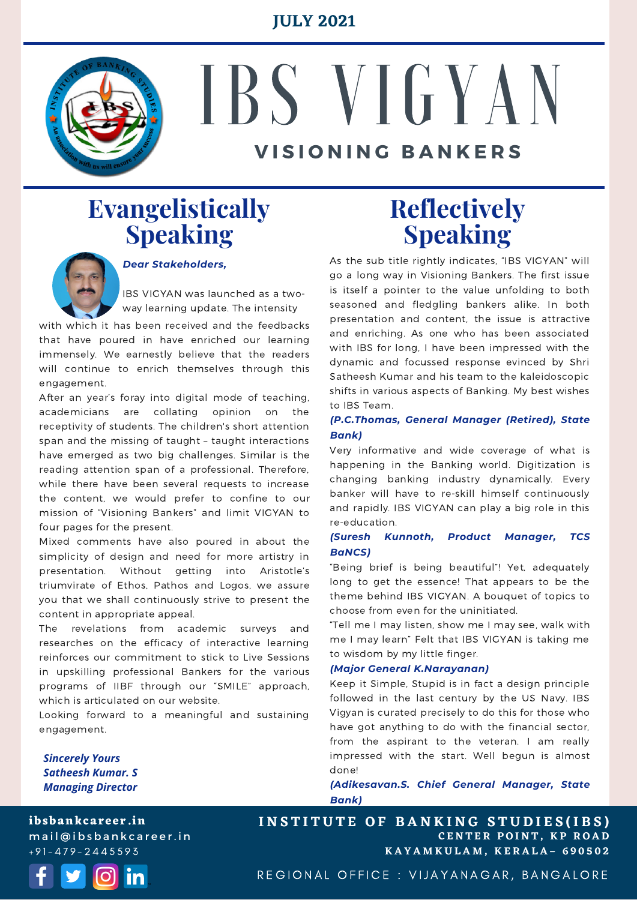#### **JULY 2021**



# IBS V I G Y A N **V I S I O N I N G B A N K E R S**

# **Evangelistically Speaking**



#### *Dear Stakeholders,*

IBS VIGYAN was launched as a twoway learning update. The intensity

with which it has been received and the feedbacks that have poured in have enriched our learning immensely. We earnestly believe that the readers will continue to enrich themselves through this engagement.

After an year's foray into digital mode of teaching, academicians are collating opinion on the receptivity of students. The children's short attention span and the missing of taught – taught interactions have emerged as two big challenges. Similar is the reading attention span of a professional. Therefore, while there have been several requests to increase the content, we would prefer to confine to our mission of "Visioning Bankers" and limit VIGYAN to four pages for the present.

Mixed comments have also poured in about the simplicity of design and need for more artistry in presentation. Without getting into Aristotle's triumvirate of Ethos, Pathos and Logos, we assure you that we shall continuously strive to present the content in appropriate appeal.

The revelations from academic surveys and researches on the efficacy of interactive learning reinforces our commitment to stick to Live Sessions in upskilling professional Bankers for the various programs of IIBF through our "SMILE" approach, which is articulated on our website.

Looking forward to a meaningful and sustaining engagement.

*Sincerely Yours Satheesh Kumar. S Managing Director*

**ibsbankcareer.in** mail@ibsbankcareer.in + 9 1 - 4 7 9 - 2 4 4 5 5 9 3



## **Reflectively Speaking**

As the sub title rightly indicates, "IBS VIGYAN" will go a long way in Visioning Bankers. The first issue is itself a pointer to the value unfolding to both seasoned and fledgling bankers alike. In both presentation and content, the issue is attractive and enriching. As one who has been associated with IBS for long, I have been impressed with the dynamic and focussed response evinced by Shri Satheesh Kumar and his team to the kaleidoscopic shifts in various aspects of Banking. My best wishes to IBS Team.

#### *(P.C.Thomas, General Manager (Retired), State Bank)*

Very informative and wide coverage of what is happening in the Banking world. Digitization is changing banking industry dynamically. Every banker will have to re-skill himself continuously and rapidly. IBS VIGYAN can play a big role in this re-education.

#### *(Suresh Kunnoth, Product Manager, TCS BaNCS)*

"Being brief is being beautiful"! Yet, adequately long to get the essence! That appears to be the theme behind IBS VIGYAN. A bouquet of topics to choose from even for the uninitiated.

"Tell me I may listen, show me I may see, walk with me I may learn" Felt that IBS VIGYAN is taking me to wisdom by my little finger.

#### *(Major General K.Narayanan)*

Keep it Simple, Stupid is in fact a design principle followed in the last century by the US Navy. IBS Vigyan is curated precisely to do this for those who have got anything to do with the financial sector, from the aspirant to the veteran. I am really impressed with the start. Well begun is almost done!

*(Adikesavan.S. Chief General Manager, State Bank)*

**C E N T E R P O I N T , K P R O A D K A Y A M K U L A M , K E R A L A – 6 9 0 5 0 2 INSTITUTE OF BANKING STUDIES(IBS)** 

REGIONAL OFFICE : VIJAYANAGAR, BANGALORE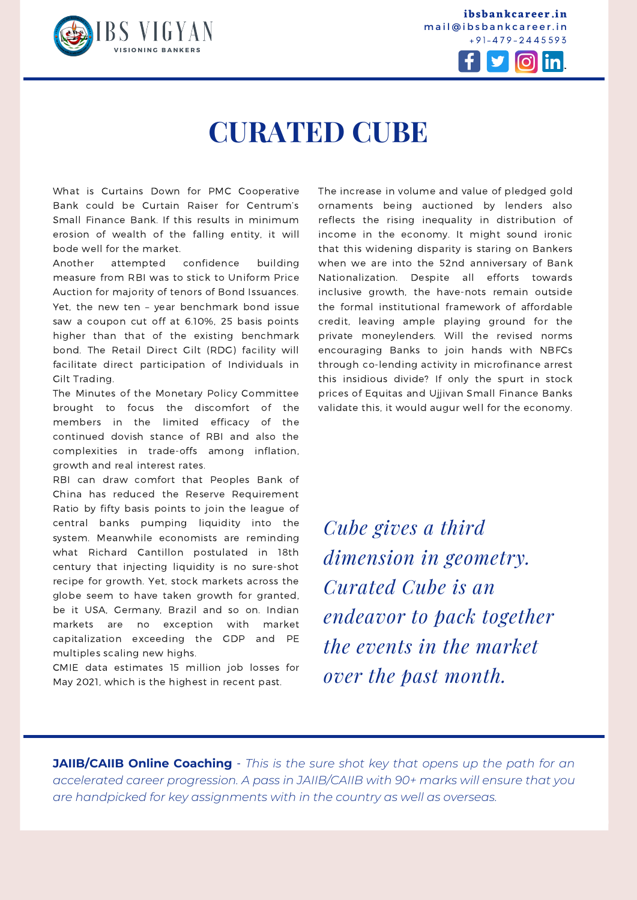

**ibsbankcareer.in** mail@ibsbankcareer.in + 9 1 - 4 7 9 - 2 4 4 5 5 9 3



# **CURATED CUBE**

What is Curtains Down for PMC Cooperative Bank could be Curtain Raiser for Centrum's Small Finance Bank. If this results in minimum erosion of wealth of the falling entity, it will bode well for the market.

Another attempted confidence building measure from RBI was to stick to Uniform Price Auction for majority of tenors of Bond Issuances. Yet, the new ten – year benchmark bond issue saw a coupon cut off at 6.10%, 25 basis points higher than that of the existing benchmark bond. The Retail Direct Gilt (RDG) facility will facilitate direct participation of Individuals in Gilt Trading.

The Minutes of the Monetary Policy Committee brought to focus the discomfort of the members in the limited efficacy of the continued dovish stance of RBI and also the complexities in trade-offs among inflation, growth and real interest rates.

RBI can draw comfort that Peoples Bank of China has reduced the Reserve Requirement Ratio by fifty basis points to join the league of central banks pumping liquidity into the system. Meanwhile economists are reminding what Richard Cantillon postulated in 18th century that injecting liquidity is no sure-shot recipe for growth. Yet, stock markets across the globe seem to have taken growth for granted, be it USA, Germany, Brazil and so on. Indian markets are no exception with market capitalization exceeding the GDP and PE multiples scaling new highs.

CMIE data estimates 15 million job losses for May 2021, which is the highest in recent past.

The increase in volume and value of pledged gold ornaments being auctioned by lenders also reflects the rising inequality in distribution of income in the economy. It might sound ironic that this widening disparity is staring on Bankers when we are into the 52nd anniversary of Bank Nationalization. Despite all efforts towards inclusive growth, the have-nots remain outside the formal institutional framework of affordable credit, leaving ample playing ground for the private moneylenders. Will the revised norms encouraging Banks to join hands with NBFCs through co-lending activity in microfinance arrest this insidious divide? If only the spurt in stock prices of Equitas and Ujjivan Small Finance Banks validate this, it would augur well for the economy.

*Cube gives a third dimension in geometry. Curated Cube is an endeavor to pack together the events in the market over the past month.*

**JAIIB/CAIIB Online Coaching** - *This is the sure shot key that opens up the path for an accelerated career progression. A pass in [JAIIB/CAIIB](https://ibsbankcareer.in/course/) with 90+ marks will ensure that you are handpicked for key assignments with in the country as well as overseas.*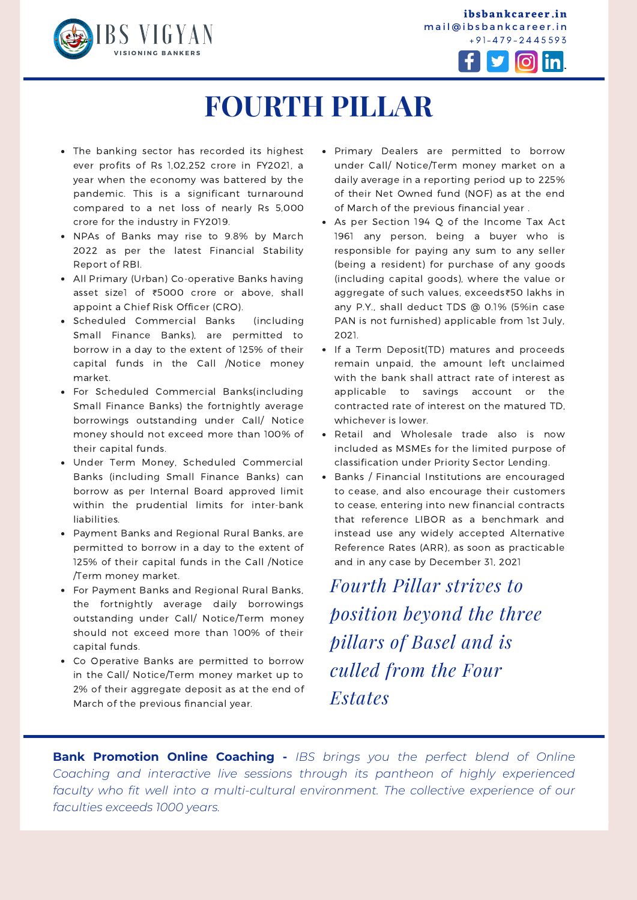

**ibsbankcareer.in** mail@ibsbankcareer.in



# **FOURTH PILLAR**

- The banking sector has recorded its highest ever profits of Rs 1,02,252 crore in FY2021, a year when the economy was battered by the pandemic. This is a significant turnaround compared to a net loss of nearly Rs 5,000 crore for the industry in FY2019.
- NPAs of Banks may rise to 9.8% by March 2022 as per the latest Financial Stability Report of RBI.
- All Primary (Urban) Co-operative Banks having asset size[1](https://www.rbi.org.in/Scripts/NotificationUser.aspx?Id=12121&Mode=0#F1) of ₹5000 crore or above, shall appoint a Chief Risk Officer (CRO).
- Scheduled Commercial Banks (including Small Finance Banks), are permitted to borrow in a day to the extent of 125% of their capital funds in the Call /Notice money market.
- For Scheduled Commercial Banks(including Small Finance Banks) the fortnightly average borrowings outstanding under Call/ Notice money should not exceed more than 100% of their capital funds.
- Under Term Money, Scheduled Commercial Banks (including Small Finance Banks) can borrow as per Internal Board approved limit within the prudential limits for inter-bank liabilities.
- Payment Banks and Regional Rural Banks, are permitted to borrow in a day to the extent of 125% of their capital funds in the Call /Notice /Term money market.
- For Payment Banks and Regional Rural Banks, the fortnightly average daily borrowings outstanding under Call/ Notice/Term money should not exceed more than 100% of their capital funds.
- Co Operative Banks are permitted to borrow in the Call/ Notice/Term money market up to 2% of their aggregate deposit as at the end of March of the previous financial year.
- Primary Dealers are permitted to borrow under Call/ Notice/Term money market on a daily average in a reporting period up to 225% of their Net Owned fund (NOF) as at the end of March of the previous financial year .
- As per Section 194 Q of the Income Tax Act 1961 any person, being a buyer who is responsible for paying any sum to any seller (being a resident) for purchase of any goods (including capital goods), where the value or aggregate of such values, exceeds₹50 lakhs in any P.Y., shall deduct TDS @ 0.1% (5%in case PAN is not furnished) applicable from 1st July, 2021.
- If a Term Deposit(TD) matures and proceeds remain unpaid, the amount left unclaimed with the bank shall attract rate of interest as applicable to savings account or the contracted rate of interest on the matured TD, whichever is lower.
- Retail and Wholesale trade also is now included as MSMEs for the limited purpose of classification under Priority Sector Lending.
- Banks / Financial Institutions are encouraged to cease, and also encourage their customers to cease, entering into new financial contracts that reference LIBOR as a benchmark and instead use any widely accepted Alternative Reference Rates (ARR), as soon as practicable and in any case by December 31, 2021

*Fourth Pillar strives to position beyond the three pillars of Basel and is culled from the Four Estates*

**Bank Promotion Online Coaching -** *IBS brings you the perfect blend of Online Coaching and interactive live sessions through its pantheon of highly experienced faculty who fit well into a multi-cultural environment. The collective experience of our faculties exceeds 1000 years.*